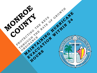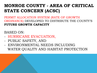# **MONROE COUNTY - AREA OF CRITICAL STATE CONCERN (ACSC)**

PERMIT ALLOCATION SYSTEM (RATE OF GROWTH ORDINANCE) DEVELOPED TO DISTRIBUTE THE COUNTY'S **FUTURE GROWTH CAPACITY** 

## BASED ON:

- HURRICANE EVACUATION,
- PUBLIC SAFETY, AND
- ENVIRONMENTAL NEEDS INCLUDING WATER QUALITY AND HABITAT PROTECTION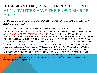# **RULE 28-20.140, F. A. C**. MONROE COUNTY MUNICIPALITIES HAVE THEIR OWN SIMILAR RULES

(2) POLICY 101.2.13 MONROE COUNTY WORK PROGRAM CONDITIONS AND OBJECTIVES.

 (B) THE NUMBER OF PERMITS ISSUED ANNUALLY FOR RESIDENTIAL DEVELOPMENT UNDER THE RATE OF GROWTH ORDINANCE SHALL NOT EXCEED A TOTAL ANNUAL UNIT CAP OF 197, PLUS ANY AVAILABLE UNUSED ROGO ALLOCATIONS FROM A PREVIOUS ROGO YEAR. EACH YEAR'S ROGO ALLOCATION OF 197 UNITS SHALL BE SPLIT WITH A MINIMUM OF 71 UNITS ALLOCATED FOR AFFORDABLE HOUSING IN PERPETUITY AND MARKET RATE ALLOCATIONS NOT TO EXCEED 126 RESIDENTIAL UNITS PER YEAR. UNUSED ROGO ALLOCATIONS MAY BE RETAINED AND MADE AVAILABLE ONLY FOR AFFORDABLE HOUSING AND ADMINISTRATIVE RELIEF FROM ROGO YEAR TO ROGO YEAR. UNUSED ALLOCATIONS FOR MARKET RATE SHALL BE AVAILABLE FOR ADMINISTRATIVE RELIEF. ANY UNUSED AFFORDABLE ALLOCATIONS WILL ROLL OVER TO AFFORDABLE HOUSING. A ROGO YEAR MEANS THE TWELVE-MONTH PERIOD BEGINNING ON JULY 13.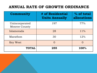# **ANNUAL RATE OF GROWTH ORDINANCE**

| Community                              | # of Residential<br><b>Units Annually</b> | % of total<br>allocations |
|----------------------------------------|-------------------------------------------|---------------------------|
| Unincorporated<br><b>Monroe County</b> | 197                                       | 77%                       |
| Islamorada                             | 28                                        | $11\%$                    |
| Marathon                               | 30                                        | 12%                       |
| Key West                               |                                           | $\Omega$                  |
| <b>TOTAL</b>                           | 255                                       | 100%                      |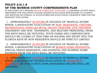#### **POLICY 216.1.8 OF THE MONROE COUNTY COMPREHENSIVE PLAN**

IN THE EVENT OF A PENDING MAJOR HURRICANE (CATEGORY 3-5) MONROE COUNTY SHALL IMPLEMENT THE FOLLOWING STAGED/PHASED EVACUATION PROCEDURES TO ACHIEVE AND MAINTAIN AN OVERALL 24-HOUR HURRICANE EVACUATION CLEARANCE TIME FOR THE RESIDENT POPULATION.

1. APPROXIMATELY **48 HOURS** IN ADVANCE OF TROPICAL STORM WINDS, A MANDATORY EVACUATION OF NON- RESIDENTS, VISITORS, RECREATIONAL VEHICLES (RV'S), TRAVEL TRAILERS, LIVE-ABOARDS (TRANSIENT AND NON- TRANSIENT), AND MILITARY PERSONNEL FROM THE KEYS SHALL BE INITIATED. STATE PARKS AND CAMPGROUNDS SHOULD BE CLOSED AT THIS TIME OR SOONER AND ENTRY INTO THE FLORIDA KEYS BY NON-RESIDENTS SHOULD BE STRICTLY LIMITED.

 2. APPROXIMATELY 36 HOURS IN ADVANCE OF TROPICAL STORM WINDS, A MANDATORY EVACUATION OF MOBILE HOME RESIDENTS, SPECIAL NEEDS RESIDENTS, AND HOSPITAL AND NURSING HOME PATIENTS FROM THE KEYS SHALL BE INITIATED.

 3. APPROXIMATELY 30 HOURS IN ADVANCE OF TROPICAL STORM WINDS, A MANDATORY PHASED EVACUATION OF PERMANENT SIDENTS BY EVACUATION ZONE (DESCRIBED BELOW) SHALL BE INITIATED.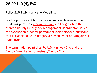## 28-20.140 (4), FAC

Policy 216.1.19. Hurricane Modeling.

For the purposes of hurricane evacuation clearance time modeling purposes, clearance time shall begin when the Monroe County Emergency Management Coordinator issues the evacuation order for permanent residents for a hurricane that is classified as a Category 3-5 wind event or Category C-E surge event.

The termination point shall be U.S. Highway One and the Florida Turnpike in Homestead/Florida City.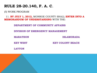(5) WORK PROGRAM

 11. **BY JULY 1, 2012,** MONROE COUNTY SHALL **ENTER INTO A MEMORANDUM OF UNDERSTANDING** WITH THE:

**DEPARTMENT OF COMMUNITY AFFAIRS**

**DIVISION OF EMERGENCY MANAGEMENT**

**MARATHON ISLAMORADA**

**KEY WEST KEY COLONY BEACH**

**LAYTON**

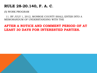(5) WORK PROGRAM

 11. BY JULY 1, 2012, MONROE COUNTY SHALL ENTER INTO A MEMORANDUM OF UNDERSTANDING WITH THE

### **AFTER A NOTICE AND COMMENT PERIOD OF AT LEAST 30 DAYS FOR INTERESTED PARTIES.**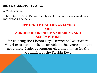#### **Rule 28-20.140, F. A. C**.

(5) Work program

 11. By July 1, 2012, Monroe County shall enter into a memorandum of understanding based on:

### **UPDATED DATA AND ANALYSIS AND AGREED UPON INPUT VARIABLES AND ASSUMPTIONS**

for utilizing the Florida Keys Hurricane Evacuation Model or other models acceptable to the Department to accurately depict evacuation clearance times for the population of the Florida Keys.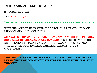(5) WORK PROGRAM

12. BY JULY 1, 2012,

**THE FLORIDA KEYS HURRICANE EVACUATION MODEL SHALL BE RUN** 

WITH THE AGREED UPON VARIABLES FROM THE MEMORANDUM OF UNDERSTANDING TO COMPLETE

**AN ANALYSIS OF MAXIMUM BUILD-OUT CAPACITY FOR THE FLORIDA KEYS AREA OF CRITICAL STATE CONCERN**, CONSISTENT WITH THE REQUIREMENT TO MAINTAIN A 24-HOUR EVACUATION CLEARANCE TIME AND THE FLORIDA KEYS CARRYING CAPACITY STUDY CONSTRAINTS.

**THIS ANALYSIS SHALL BE PREPARED IN COORDINATION WITH THE DEPARTMENT OF COMMUNITY AFFAIRS AND EACH MUNICIPALITY IN THE KEYS.**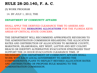#### (5) WORK PROGRAM

14. BY JULY 1, 2012, THE

#### **DEPARTMENT OF COMMUNITY AFFAIRS**

SHALL APPLY THE DERIVED CLEARANCE TIME TO ASSESS AND DETERMINE THE **REMAINING ALLOCATIONS** FOR THE FLORIDA KEYS AREAS OF CRITICAL STATE CONCERN.

THE DEPARTMENT WILL RECOMMEND APPROPRIATE REVISIONS TO THE ADMINISTRATION COMMISSION REGARDING THE ALLOCATION RATES AND DISTRIBUTION OF ALLOCATIONS TO MONROE COUNTY, MARATHON, ISLAMORADA, KEY WEST, LAYTON AND KEY COLONY BEACH OR IDENTIFY ALTERNATIVE EVACUATION STRATEGIES THAT SUPPORT THE 24 HOUR EVACUATION CLEARANCE TIME. IF NECESSARY, THE DEPARTMENT OF COMMUNITY AFFAIRS SHALL WORK WITH EACH LOCAL GOVERNMENT TO AMEND THE COMPREHENSIVE PLANS TO REFLECT REVISED ALLOCATION RATES AND DISTRIBUTIONS OR PROPOSE RULE MAKING TO THE ADMINISTRATION COMMISSION.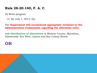#### **Rule 28-20.140, F. A. C**.

(5) Work program

14. By July 1, 2012, the

The **Department will recommend appropriate revisions to the Administration Commission regarding the allocation rates** 

**and distribution of allocations** to Monroe County, Marathon, Islamorada, Key West, Layton and Key Colony Beach

# **OR**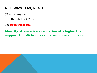#### **Rule 28-20.140, F. A. C**.

(5) Work program

14. By July 1, 2012, the

The **Department will** 

### **identify alternative evacuation strategies that support the 24 hour evacuation clearance time.**